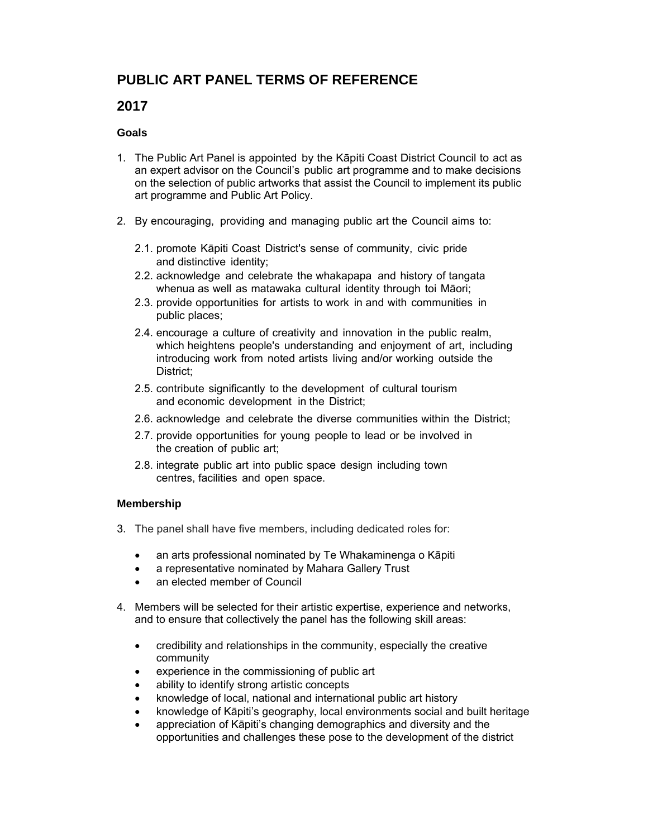# **PUBLIC ART PANEL TERMS OF REFERENCE**

# **2017**

### **Goals**

- 1. The Public Art Panel is appointed by the Kāpiti Coast District Council to act as an expert advisor on the Council's public art programme and to make decisions on the selection of public artworks that assist the Council to implement its public art programme and Public Art Policy.
- 2. By encouraging, providing and managing public art the Council aims to:
	- 2.1. promote Kāpiti Coast District's sense of community, civic pride and distinctive identity;
	- 2.2. acknowledge and celebrate the whakapapa and history of tangata whenua as well as matawaka cultural identity through toi Māori;
	- 2.3. provide opportunities for artists to work in and with communities in public places;
	- 2.4. encourage a culture of creativity and innovation in the public realm, which heightens people's understanding and enjoyment of art, including introducing work from noted artists living and/or working outside the District;
	- 2.5. contribute significantly to the development of cultural tourism and economic development in the District;
	- 2.6. acknowledge and celebrate the diverse communities within the District;
	- 2.7. provide opportunities for young people to lead or be involved in the creation of public art;
	- 2.8. integrate public art into public space design including town centres, facilities and open space.

## **Membership**

- 3. The panel shall have five members, including dedicated roles for:
	- an arts professional nominated by Te Whakaminenga o Kāpiti
	- a representative nominated by Mahara Gallery Trust
	- an elected member of Council
- 4. Members will be selected for their artistic expertise, experience and networks, and to ensure that collectively the panel has the following skill areas:
	- credibility and relationships in the community, especially the creative community
	- experience in the commissioning of public art
	- ability to identify strong artistic concepts
	- knowledge of local, national and international public art history
	- knowledge of Kāpiti's geography, local environments social and built heritage
	- appreciation of Kāpiti's changing demographics and diversity and the opportunities and challenges these pose to the development of the district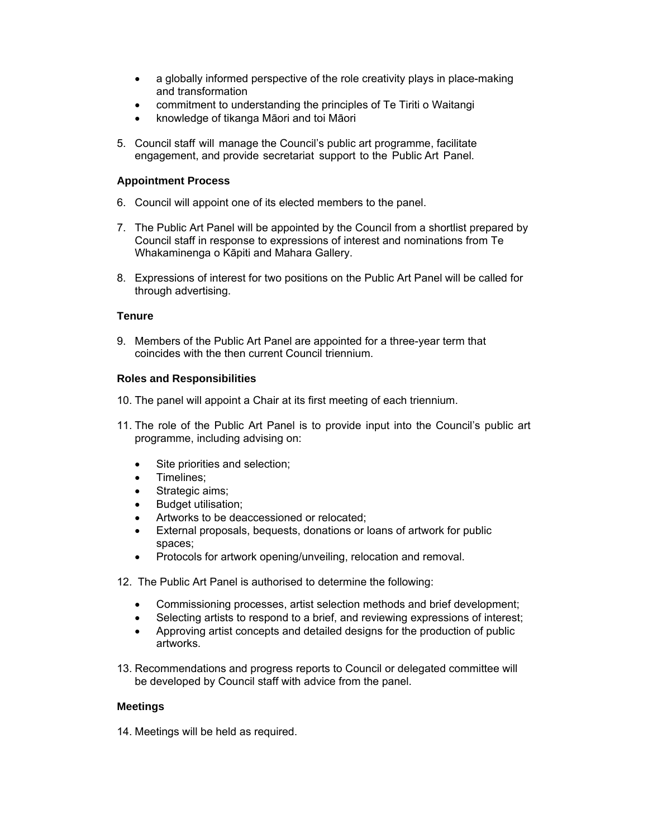- a globally informed perspective of the role creativity plays in place-making and transformation
- commitment to understanding the principles of Te Tiriti o Waitangi
- knowledge of tikanga Māori and toi Māori
- 5. Council staff will manage the Council's public art programme, facilitate engagement, and provide secretariat support to the Public Art Panel.

#### **Appointment Process**

- 6. Council will appoint one of its elected members to the panel.
- 7. The Public Art Panel will be appointed by the Council from a shortlist prepared by Council staff in response to expressions of interest and nominations from Te Whakaminenga o Kāpiti and Mahara Gallery.
- 8. Expressions of interest for two positions on the Public Art Panel will be called for through advertising.

#### **Tenure**

9. Members of the Public Art Panel are appointed for a three-year term that coincides with the then current Council triennium.

#### **Roles and Responsibilities**

- 10. The panel will appoint a Chair at its first meeting of each triennium.
- 11. The role of the Public Art Panel is to provide input into the Council's public art programme, including advising on:
	- Site priorities and selection;
	- Timelines;
	- Strategic aims;
	- Budget utilisation;
	- Artworks to be deaccessioned or relocated;
	- External proposals, bequests, donations or loans of artwork for public spaces;
	- Protocols for artwork opening/unveiling, relocation and removal.
- 12. The Public Art Panel is authorised to determine the following:
	- Commissioning processes, artist selection methods and brief development;
	- Selecting artists to respond to a brief, and reviewing expressions of interest;
	- Approving artist concepts and detailed designs for the production of public artworks.
- 13. Recommendations and progress reports to Council or delegated committee will be developed by Council staff with advice from the panel.

#### **Meetings**

14. Meetings will be held as required.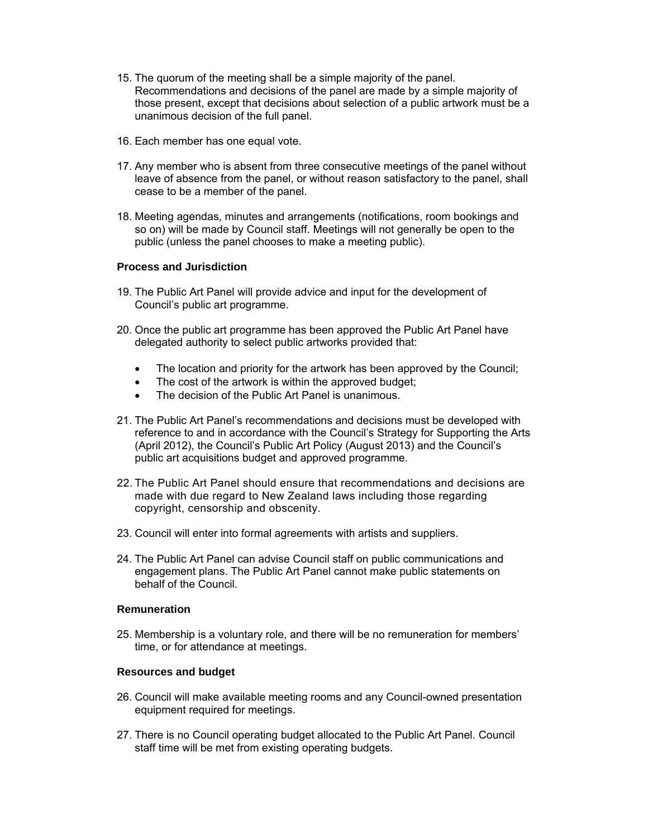- 15. The quorum of the meeting shall be a simple majority of the panel. Recommendations and decisions of the panel are made by a simple majority of those present, except that decisions about selection of a public artwork must be a unanimous decision of the full panel.
- 16. Each member has one equal vote.
- 17. Any member who is absent from three consecutive meetings of the panel without leave of absence from the panel, or without reason satisfactory to the panel, shall cease to be a member of the panel.
- 18. Meeting agendas, minutes and arrangements (notifications, room bookings and so on) will be made by Council staff. Meetings will not generally be open to the public (unless the panel chooses to make a meeting public).

#### **Process and Jurisdiction**

- 19. The Public Art Panel will provide advice and input for the development of Council's public art programme.
- 20. Once the public art programme has been approved the Public Art Panel have delegated authority to select public artworks provided that:
	- The location and priority for the artwork has been approved by the Council;
	- The cost of the artwork is within the approved budget;
	- The decision of the Public Art Panel is unanimous.
- 21. The Public Art Panel's recommendations and decisions must be developed with reference to and in accordance with the Council's Strategy for Supporting the Arts (April 2012), the Council's Public Art Policy (August 2013) and the Council's public art acquisitions budget and approved programme.
- 22. The Public Art Panel should ensure that recommendations and decisions are made with due regard to New Zealand laws including those regarding copyright, censorship and obscenity.
- 23. Council will enter into formal agreements with artists and suppliers.
- 24. The Public Art Panel can advise Council staff on public communications and engagement plans. The Public Art Panel cannot make public statements on behalf of the Council.

#### **Remuneration**

25. Membership is a voluntary role, and there will be no remuneration for members' time, or for attendance at meetings.

#### **Resources and budget**

- 26. Council will make available meeting rooms and any Council-owned presentation equipment required for meetings.
- 27. There is no Council operating budget allocated to the Public Art Panel. Council staff time will be met from existing operating budgets.